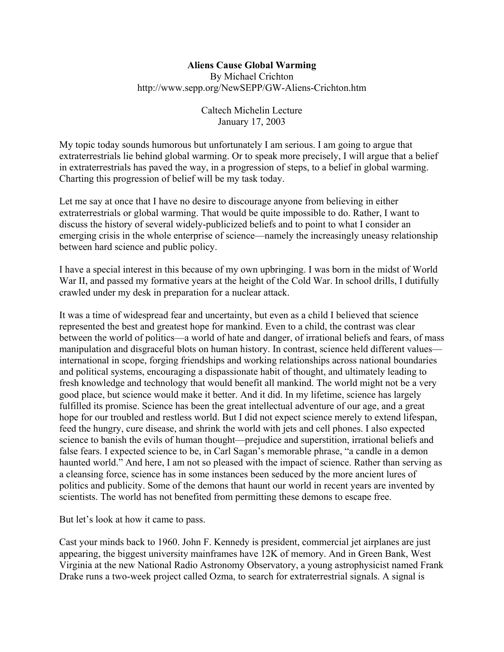## **Aliens Cause Global Warming**

By Michael Crichton http://www.sepp.org/NewSEPP/GW-Aliens-Crichton.htm

> Caltech Michelin Lecture January 17, 2003

My topic today sounds humorous but unfortunately I am serious. I am going to argue that extraterrestrials lie behind global warming. Or to speak more precisely, I will argue that a belief in extraterrestrials has paved the way, in a progression of steps, to a belief in global warming. Charting this progression of belief will be my task today.

Let me say at once that I have no desire to discourage anyone from believing in either extraterrestrials or global warming. That would be quite impossible to do. Rather, I want to discuss the history of several widely-publicized beliefs and to point to what I consider an emerging crisis in the whole enterprise of science—namely the increasingly uneasy relationship between hard science and public policy.

I have a special interest in this because of my own upbringing. I was born in the midst of World War II, and passed my formative years at the height of the Cold War. In school drills, I dutifully crawled under my desk in preparation for a nuclear attack.

It was a time of widespread fear and uncertainty, but even as a child I believed that science represented the best and greatest hope for mankind. Even to a child, the contrast was clear between the world of politics—a world of hate and danger, of irrational beliefs and fears, of mass manipulation and disgraceful blots on human history. In contrast, science held different values international in scope, forging friendships and working relationships across national boundaries and political systems, encouraging a dispassionate habit of thought, and ultimately leading to fresh knowledge and technology that would benefit all mankind. The world might not be a very good place, but science would make it better. And it did. In my lifetime, science has largely fulfilled its promise. Science has been the great intellectual adventure of our age, and a great hope for our troubled and restless world. But I did not expect science merely to extend lifespan, feed the hungry, cure disease, and shrink the world with jets and cell phones. I also expected science to banish the evils of human thought—prejudice and superstition, irrational beliefs and false fears. I expected science to be, in Carl Sagan's memorable phrase, "a candle in a demon haunted world." And here, I am not so pleased with the impact of science. Rather than serving as a cleansing force, science has in some instances been seduced by the more ancient lures of politics and publicity. Some of the demons that haunt our world in recent years are invented by scientists. The world has not benefited from permitting these demons to escape free.

But let's look at how it came to pass.

Cast your minds back to 1960. John F. Kennedy is president, commercial jet airplanes are just appearing, the biggest university mainframes have 12K of memory. And in Green Bank, West Virginia at the new National Radio Astronomy Observatory, a young astrophysicist named Frank Drake runs a two-week project called Ozma, to search for extraterrestrial signals. A signal is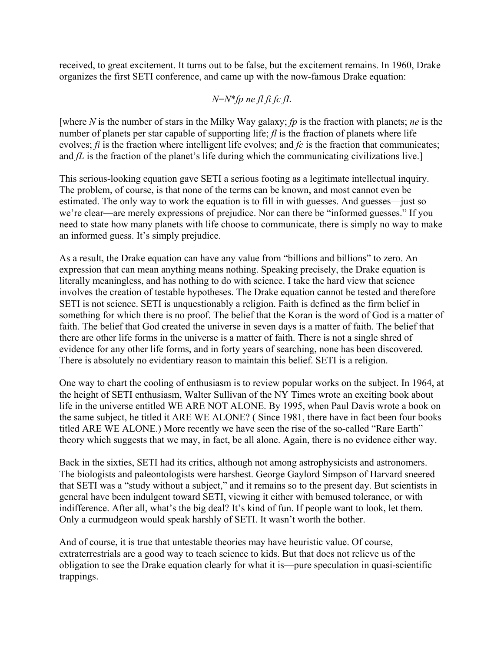received, to great excitement. It turns out to be false, but the excitement remains. In 1960, Drake organizes the first SETI conference, and came up with the now-famous Drake equation:

## *N*=*N*\**fp ne fl fi fc fL*

[where *N* is the number of stars in the Milky Way galaxy; *fp* is the fraction with planets; *ne* is the number of planets per star capable of supporting life; *fl* is the fraction of planets where life evolves; *fi* is the fraction where intelligent life evolves; and *fc* is the fraction that communicates; and *fL* is the fraction of the planet's life during which the communicating civilizations live.]

This serious-looking equation gave SETI a serious footing as a legitimate intellectual inquiry. The problem, of course, is that none of the terms can be known, and most cannot even be estimated. The only way to work the equation is to fill in with guesses. And guesses—just so we're clear—are merely expressions of prejudice. Nor can there be "informed guesses." If you need to state how many planets with life choose to communicate, there is simply no way to make an informed guess. It's simply prejudice.

As a result, the Drake equation can have any value from "billions and billions" to zero. An expression that can mean anything means nothing. Speaking precisely, the Drake equation is literally meaningless, and has nothing to do with science. I take the hard view that science involves the creation of testable hypotheses. The Drake equation cannot be tested and therefore SETI is not science. SETI is unquestionably a religion. Faith is defined as the firm belief in something for which there is no proof. The belief that the Koran is the word of God is a matter of faith. The belief that God created the universe in seven days is a matter of faith. The belief that there are other life forms in the universe is a matter of faith. There is not a single shred of evidence for any other life forms, and in forty years of searching, none has been discovered. There is absolutely no evidentiary reason to maintain this belief. SETI is a religion.

One way to chart the cooling of enthusiasm is to review popular works on the subject. In 1964, at the height of SETI enthusiasm, Walter Sullivan of the NY Times wrote an exciting book about life in the universe entitled WE ARE NOT ALONE. By 1995, when Paul Davis wrote a book on the same subject, he titled it ARE WE ALONE? ( Since 1981, there have in fact been four books titled ARE WE ALONE.) More recently we have seen the rise of the so-called "Rare Earth" theory which suggests that we may, in fact, be all alone. Again, there is no evidence either way.

Back in the sixties, SETI had its critics, although not among astrophysicists and astronomers. The biologists and paleontologists were harshest. George Gaylord Simpson of Harvard sneered that SETI was a "study without a subject," and it remains so to the present day. But scientists in general have been indulgent toward SETI, viewing it either with bemused tolerance, or with indifference. After all, what's the big deal? It's kind of fun. If people want to look, let them. Only a curmudgeon would speak harshly of SETI. It wasn't worth the bother.

And of course, it is true that untestable theories may have heuristic value. Of course, extraterrestrials are a good way to teach science to kids. But that does not relieve us of the obligation to see the Drake equation clearly for what it is—pure speculation in quasi-scientific trappings.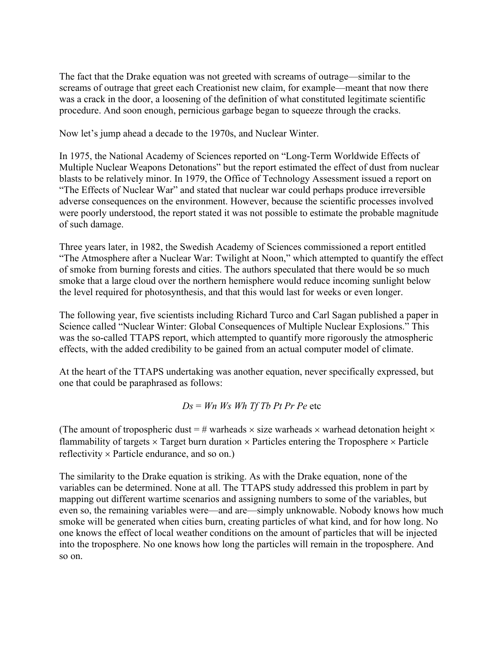The fact that the Drake equation was not greeted with screams of outrage—similar to the screams of outrage that greet each Creationist new claim, for example—meant that now there was a crack in the door, a loosening of the definition of what constituted legitimate scientific procedure. And soon enough, pernicious garbage began to squeeze through the cracks.

Now let's jump ahead a decade to the 1970s, and Nuclear Winter.

In 1975, the National Academy of Sciences reported on "Long-Term Worldwide Effects of Multiple Nuclear Weapons Detonations" but the report estimated the effect of dust from nuclear blasts to be relatively minor. In 1979, the Office of Technology Assessment issued a report on "The Effects of Nuclear War" and stated that nuclear war could perhaps produce irreversible adverse consequences on the environment. However, because the scientific processes involved were poorly understood, the report stated it was not possible to estimate the probable magnitude of such damage.

Three years later, in 1982, the Swedish Academy of Sciences commissioned a report entitled "The Atmosphere after a Nuclear War: Twilight at Noon," which attempted to quantify the effect of smoke from burning forests and cities. The authors speculated that there would be so much smoke that a large cloud over the northern hemisphere would reduce incoming sunlight below the level required for photosynthesis, and that this would last for weeks or even longer.

The following year, five scientists including Richard Turco and Carl Sagan published a paper in Science called "Nuclear Winter: Global Consequences of Multiple Nuclear Explosions." This was the so-called TTAPS report, which attempted to quantify more rigorously the atmospheric effects, with the added credibility to be gained from an actual computer model of climate.

At the heart of the TTAPS undertaking was another equation, never specifically expressed, but one that could be paraphrased as follows:

$$
Ds = Wn \, Ws \, Wh \, Tf \, Tb \, Pt \, Pr \, Pe \, etc
$$

(The amount of tropospheric dust = # warheads  $\times$  size warheads  $\times$  warhead detonation height  $\times$ flammability of targets  $\times$  Target burn duration  $\times$  Particles entering the Troposphere  $\times$  Particle reflectivity  $\times$  Particle endurance, and so on.)

The similarity to the Drake equation is striking. As with the Drake equation, none of the variables can be determined. None at all. The TTAPS study addressed this problem in part by mapping out different wartime scenarios and assigning numbers to some of the variables, but even so, the remaining variables were—and are—simply unknowable. Nobody knows how much smoke will be generated when cities burn, creating particles of what kind, and for how long. No one knows the effect of local weather conditions on the amount of particles that will be injected into the troposphere. No one knows how long the particles will remain in the troposphere. And so on.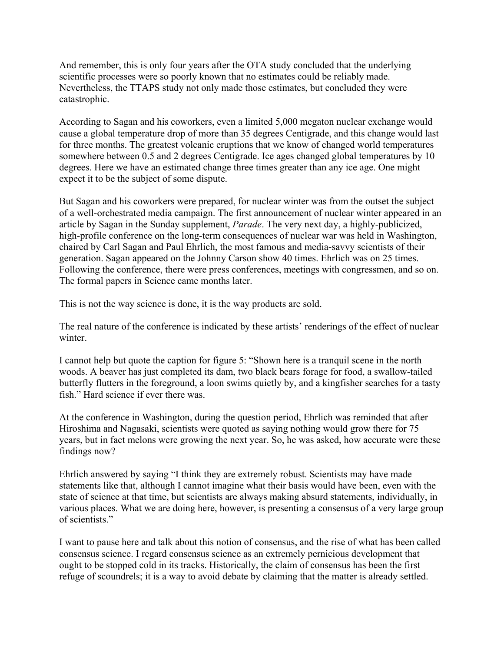And remember, this is only four years after the OTA study concluded that the underlying scientific processes were so poorly known that no estimates could be reliably made. Nevertheless, the TTAPS study not only made those estimates, but concluded they were catastrophic.

According to Sagan and his coworkers, even a limited 5,000 megaton nuclear exchange would cause a global temperature drop of more than 35 degrees Centigrade, and this change would last for three months. The greatest volcanic eruptions that we know of changed world temperatures somewhere between 0.5 and 2 degrees Centigrade. Ice ages changed global temperatures by 10 degrees. Here we have an estimated change three times greater than any ice age. One might expect it to be the subject of some dispute.

But Sagan and his coworkers were prepared, for nuclear winter was from the outset the subject of a well-orchestrated media campaign. The first announcement of nuclear winter appeared in an article by Sagan in the Sunday supplement, *Parade*. The very next day, a highly-publicized, high-profile conference on the long-term consequences of nuclear war was held in Washington, chaired by Carl Sagan and Paul Ehrlich, the most famous and media-savvy scientists of their generation. Sagan appeared on the Johnny Carson show 40 times. Ehrlich was on 25 times. Following the conference, there were press conferences, meetings with congressmen, and so on. The formal papers in Science came months later.

This is not the way science is done, it is the way products are sold.

The real nature of the conference is indicated by these artists' renderings of the effect of nuclear winter.

I cannot help but quote the caption for figure 5: "Shown here is a tranquil scene in the north woods. A beaver has just completed its dam, two black bears forage for food, a swallow-tailed butterfly flutters in the foreground, a loon swims quietly by, and a kingfisher searches for a tasty fish." Hard science if ever there was.

At the conference in Washington, during the question period, Ehrlich was reminded that after Hiroshima and Nagasaki, scientists were quoted as saying nothing would grow there for 75 years, but in fact melons were growing the next year. So, he was asked, how accurate were these findings now?

Ehrlich answered by saying "I think they are extremely robust. Scientists may have made statements like that, although I cannot imagine what their basis would have been, even with the state of science at that time, but scientists are always making absurd statements, individually, in various places. What we are doing here, however, is presenting a consensus of a very large group of scientists."

I want to pause here and talk about this notion of consensus, and the rise of what has been called consensus science. I regard consensus science as an extremely pernicious development that ought to be stopped cold in its tracks. Historically, the claim of consensus has been the first refuge of scoundrels; it is a way to avoid debate by claiming that the matter is already settled.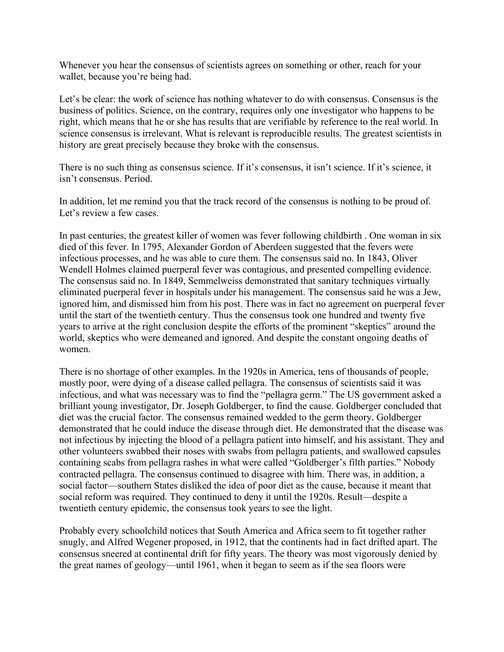Whenever you hear the consensus of scientists agrees on something or other, reach for your wallet, because you're being had.

Let's be clear: the work of science has nothing whatever to do with consensus. Consensus is the business of politics. Science, on the contrary, requires only one investigator who happens to be right, which means that he or she has results that are verifiable by reference to the real world. In science consensus is irrelevant. What is relevant is reproducible results. The greatest scientists in history are great precisely because they broke with the consensus.

There is no such thing as consensus science. If it's consensus, it isn't science. If it's science, it isn't consensus. Period.

In addition, let me remind you that the track record of the consensus is nothing to be proud of. Let's review a few cases.

In past centuries, the greatest killer of women was fever following childbirth . One woman in six died of this fever. In 1795, Alexander Gordon of Aberdeen suggested that the fevers were infectious processes, and he was able to cure them. The consensus said no. In 1843, Oliver Wendell Holmes claimed puerperal fever was contagious, and presented compelling evidence. The consensus said no. In 1849, Semmelweiss demonstrated that sanitary techniques virtually eliminated puerperal fever in hospitals under his management. The consensus said he was a Jew, ignored him, and dismissed him from his post. There was in fact no agreement on puerperal fever until the start of the twentieth century. Thus the consensus took one hundred and twenty five years to arrive at the right conclusion despite the efforts of the prominent "skeptics" around the world, skeptics who were demeaned and ignored. And despite the constant ongoing deaths of women.

There is no shortage of other examples. In the 1920s in America, tens of thousands of people, mostly poor, were dying of a disease called pellagra. The consensus of scientists said it was infectious, and what was necessary was to find the "pellagra germ." The US government asked a brilliant young investigator, Dr. Joseph Goldberger, to find the cause. Goldberger concluded that diet was the crucial factor. The consensus remained wedded to the germ theory. Goldberger demonstrated that he could induce the disease through diet. He demonstrated that the disease was not infectious by injecting the blood of a pellagra patient into himself, and his assistant. They and other volunteers swabbed their noses with swabs from pellagra patients, and swallowed capsules containing scabs from pellagra rashes in what were called "Goldberger's filth parties." Nobody contracted pellagra. The consensus continued to disagree with him. There was, in addition, a social factor—southern States disliked the idea of poor diet as the cause, because it meant that social reform was required. They continued to deny it until the 1920s. Result—despite a twentieth century epidemic, the consensus took years to see the light.

Probably every schoolchild notices that South America and Africa seem to fit together rather snugly, and Alfred Wegener proposed, in 1912, that the continents had in fact drifted apart. The consensus sneered at continental drift for fifty years. The theory was most vigorously denied by the great names of geology—until 1961, when it began to seem as if the sea floors were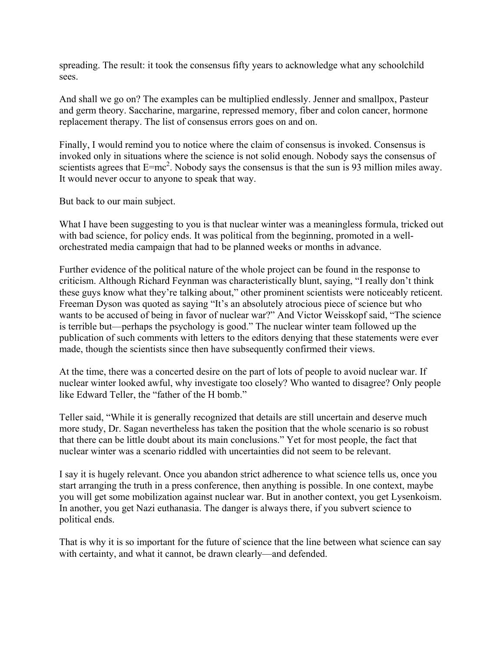spreading. The result: it took the consensus fifty years to acknowledge what any schoolchild sees.

And shall we go on? The examples can be multiplied endlessly. Jenner and smallpox, Pasteur and germ theory. Saccharine, margarine, repressed memory, fiber and colon cancer, hormone replacement therapy. The list of consensus errors goes on and on.

Finally, I would remind you to notice where the claim of consensus is invoked. Consensus is invoked only in situations where the science is not solid enough. Nobody says the consensus of scientists agrees that  $E=mc^2$ . Nobody says the consensus is that the sun is 93 million miles away. It would never occur to anyone to speak that way.

But back to our main subject.

What I have been suggesting to you is that nuclear winter was a meaningless formula, tricked out with bad science, for policy ends. It was political from the beginning, promoted in a wellorchestrated media campaign that had to be planned weeks or months in advance.

Further evidence of the political nature of the whole project can be found in the response to criticism. Although Richard Feynman was characteristically blunt, saying, "I really don't think these guys know what they're talking about," other prominent scientists were noticeably reticent. Freeman Dyson was quoted as saying "It's an absolutely atrocious piece of science but who wants to be accused of being in favor of nuclear war?" And Victor Weisskopf said, "The science is terrible but—perhaps the psychology is good." The nuclear winter team followed up the publication of such comments with letters to the editors denying that these statements were ever made, though the scientists since then have subsequently confirmed their views.

At the time, there was a concerted desire on the part of lots of people to avoid nuclear war. If nuclear winter looked awful, why investigate too closely? Who wanted to disagree? Only people like Edward Teller, the "father of the H bomb."

Teller said, "While it is generally recognized that details are still uncertain and deserve much more study, Dr. Sagan nevertheless has taken the position that the whole scenario is so robust that there can be little doubt about its main conclusions." Yet for most people, the fact that nuclear winter was a scenario riddled with uncertainties did not seem to be relevant.

I say it is hugely relevant. Once you abandon strict adherence to what science tells us, once you start arranging the truth in a press conference, then anything is possible. In one context, maybe you will get some mobilization against nuclear war. But in another context, you get Lysenkoism. In another, you get Nazi euthanasia. The danger is always there, if you subvert science to political ends.

That is why it is so important for the future of science that the line between what science can say with certainty, and what it cannot, be drawn clearly—and defended.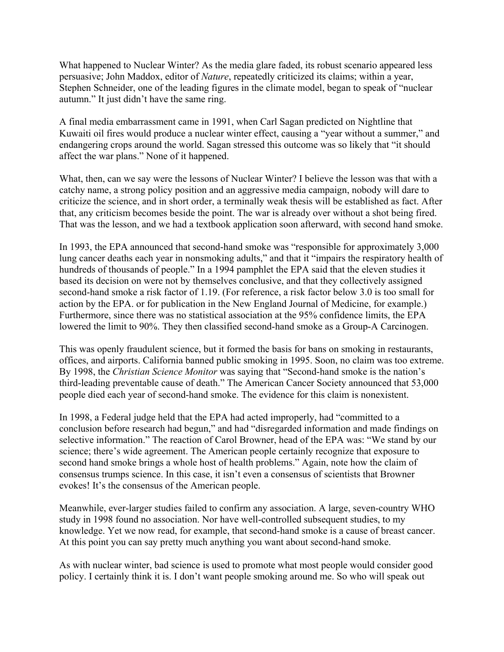What happened to Nuclear Winter? As the media glare faded, its robust scenario appeared less persuasive; John Maddox, editor of *Nature*, repeatedly criticized its claims; within a year, Stephen Schneider, one of the leading figures in the climate model, began to speak of "nuclear autumn." It just didn't have the same ring.

A final media embarrassment came in 1991, when Carl Sagan predicted on Nightline that Kuwaiti oil fires would produce a nuclear winter effect, causing a "year without a summer," and endangering crops around the world. Sagan stressed this outcome was so likely that "it should affect the war plans." None of it happened.

What, then, can we say were the lessons of Nuclear Winter? I believe the lesson was that with a catchy name, a strong policy position and an aggressive media campaign, nobody will dare to criticize the science, and in short order, a terminally weak thesis will be established as fact. After that, any criticism becomes beside the point. The war is already over without a shot being fired. That was the lesson, and we had a textbook application soon afterward, with second hand smoke.

In 1993, the EPA announced that second-hand smoke was "responsible for approximately 3,000 lung cancer deaths each year in nonsmoking adults," and that it "impairs the respiratory health of hundreds of thousands of people." In a 1994 pamphlet the EPA said that the eleven studies it based its decision on were not by themselves conclusive, and that they collectively assigned second-hand smoke a risk factor of 1.19. (For reference, a risk factor below 3.0 is too small for action by the EPA. or for publication in the New England Journal of Medicine, for example.) Furthermore, since there was no statistical association at the 95% confidence limits, the EPA lowered the limit to 90%. They then classified second-hand smoke as a Group-A Carcinogen.

This was openly fraudulent science, but it formed the basis for bans on smoking in restaurants, offices, and airports. California banned public smoking in 1995. Soon, no claim was too extreme. By 1998, the *Christian Science Monitor* was saying that "Second-hand smoke is the nation's third-leading preventable cause of death." The American Cancer Society announced that 53,000 people died each year of second-hand smoke. The evidence for this claim is nonexistent.

In 1998, a Federal judge held that the EPA had acted improperly, had "committed to a conclusion before research had begun," and had "disregarded information and made findings on selective information." The reaction of Carol Browner, head of the EPA was: "We stand by our science; there's wide agreement. The American people certainly recognize that exposure to second hand smoke brings a whole host of health problems." Again, note how the claim of consensus trumps science. In this case, it isn't even a consensus of scientists that Browner evokes! It's the consensus of the American people.

Meanwhile, ever-larger studies failed to confirm any association. A large, seven-country WHO study in 1998 found no association. Nor have well-controlled subsequent studies, to my knowledge. Yet we now read, for example, that second-hand smoke is a cause of breast cancer. At this point you can say pretty much anything you want about second-hand smoke.

As with nuclear winter, bad science is used to promote what most people would consider good policy. I certainly think it is. I don't want people smoking around me. So who will speak out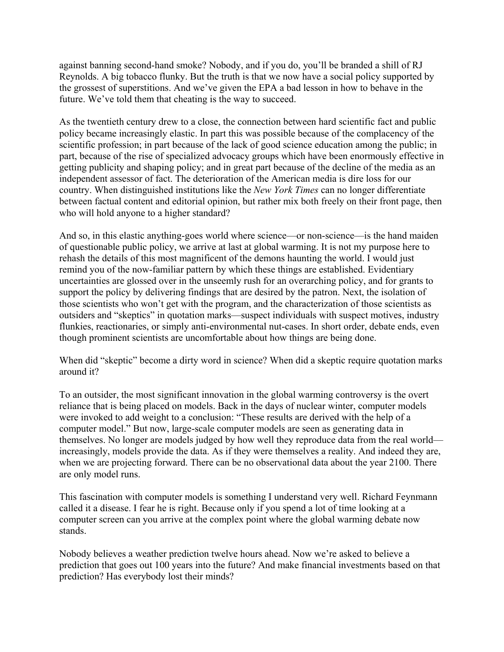against banning second-hand smoke? Nobody, and if you do, you'll be branded a shill of RJ Reynolds. A big tobacco flunky. But the truth is that we now have a social policy supported by the grossest of superstitions. And we've given the EPA a bad lesson in how to behave in the future. We've told them that cheating is the way to succeed.

As the twentieth century drew to a close, the connection between hard scientific fact and public policy became increasingly elastic. In part this was possible because of the complacency of the scientific profession; in part because of the lack of good science education among the public; in part, because of the rise of specialized advocacy groups which have been enormously effective in getting publicity and shaping policy; and in great part because of the decline of the media as an independent assessor of fact. The deterioration of the American media is dire loss for our country. When distinguished institutions like the *New York Times* can no longer differentiate between factual content and editorial opinion, but rather mix both freely on their front page, then who will hold anyone to a higher standard?

And so, in this elastic anything-goes world where science—or non-science—is the hand maiden of questionable public policy, we arrive at last at global warming. It is not my purpose here to rehash the details of this most magnificent of the demons haunting the world. I would just remind you of the now-familiar pattern by which these things are established. Evidentiary uncertainties are glossed over in the unseemly rush for an overarching policy, and for grants to support the policy by delivering findings that are desired by the patron. Next, the isolation of those scientists who won't get with the program, and the characterization of those scientists as outsiders and "skeptics" in quotation marks—suspect individuals with suspect motives, industry flunkies, reactionaries, or simply anti-environmental nut-cases. In short order, debate ends, even though prominent scientists are uncomfortable about how things are being done.

When did "skeptic" become a dirty word in science? When did a skeptic require quotation marks around it?

To an outsider, the most significant innovation in the global warming controversy is the overt reliance that is being placed on models. Back in the days of nuclear winter, computer models were invoked to add weight to a conclusion: "These results are derived with the help of a computer model." But now, large-scale computer models are seen as generating data in themselves. No longer are models judged by how well they reproduce data from the real world increasingly, models provide the data. As if they were themselves a reality. And indeed they are, when we are projecting forward. There can be no observational data about the year 2100. There are only model runs.

This fascination with computer models is something I understand very well. Richard Feynmann called it a disease. I fear he is right. Because only if you spend a lot of time looking at a computer screen can you arrive at the complex point where the global warming debate now stands.

Nobody believes a weather prediction twelve hours ahead. Now we're asked to believe a prediction that goes out 100 years into the future? And make financial investments based on that prediction? Has everybody lost their minds?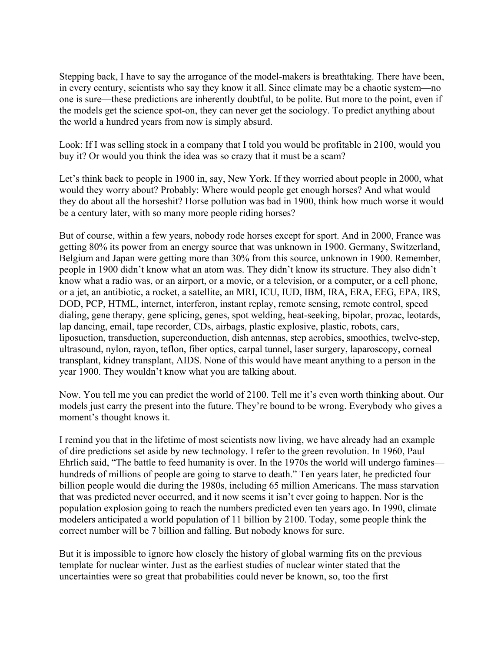Stepping back, I have to say the arrogance of the model-makers is breathtaking. There have been, in every century, scientists who say they know it all. Since climate may be a chaotic system—no one is sure—these predictions are inherently doubtful, to be polite. But more to the point, even if the models get the science spot-on, they can never get the sociology. To predict anything about the world a hundred years from now is simply absurd.

Look: If I was selling stock in a company that I told you would be profitable in 2100, would you buy it? Or would you think the idea was so crazy that it must be a scam?

Let's think back to people in 1900 in, say, New York. If they worried about people in 2000, what would they worry about? Probably: Where would people get enough horses? And what would they do about all the horseshit? Horse pollution was bad in 1900, think how much worse it would be a century later, with so many more people riding horses?

But of course, within a few years, nobody rode horses except for sport. And in 2000, France was getting 80% its power from an energy source that was unknown in 1900. Germany, Switzerland, Belgium and Japan were getting more than 30% from this source, unknown in 1900. Remember, people in 1900 didn't know what an atom was. They didn't know its structure. They also didn't know what a radio was, or an airport, or a movie, or a television, or a computer, or a cell phone, or a jet, an antibiotic, a rocket, a satellite, an MRI, ICU, IUD, IBM, IRA, ERA, EEG, EPA, IRS, DOD, PCP, HTML, internet, interferon, instant replay, remote sensing, remote control, speed dialing, gene therapy, gene splicing, genes, spot welding, heat-seeking, bipolar, prozac, leotards, lap dancing, email, tape recorder, CDs, airbags, plastic explosive, plastic, robots, cars, liposuction, transduction, superconduction, dish antennas, step aerobics, smoothies, twelve-step, ultrasound, nylon, rayon, teflon, fiber optics, carpal tunnel, laser surgery, laparoscopy, corneal transplant, kidney transplant, AIDS. None of this would have meant anything to a person in the year 1900. They wouldn't know what you are talking about.

Now. You tell me you can predict the world of 2100. Tell me it's even worth thinking about. Our models just carry the present into the future. They're bound to be wrong. Everybody who gives a moment's thought knows it.

I remind you that in the lifetime of most scientists now living, we have already had an example of dire predictions set aside by new technology. I refer to the green revolution. In 1960, Paul Ehrlich said, "The battle to feed humanity is over. In the 1970s the world will undergo famines hundreds of millions of people are going to starve to death." Ten years later, he predicted four billion people would die during the 1980s, including 65 million Americans. The mass starvation that was predicted never occurred, and it now seems it isn't ever going to happen. Nor is the population explosion going to reach the numbers predicted even ten years ago. In 1990, climate modelers anticipated a world population of 11 billion by 2100. Today, some people think the correct number will be 7 billion and falling. But nobody knows for sure.

But it is impossible to ignore how closely the history of global warming fits on the previous template for nuclear winter. Just as the earliest studies of nuclear winter stated that the uncertainties were so great that probabilities could never be known, so, too the first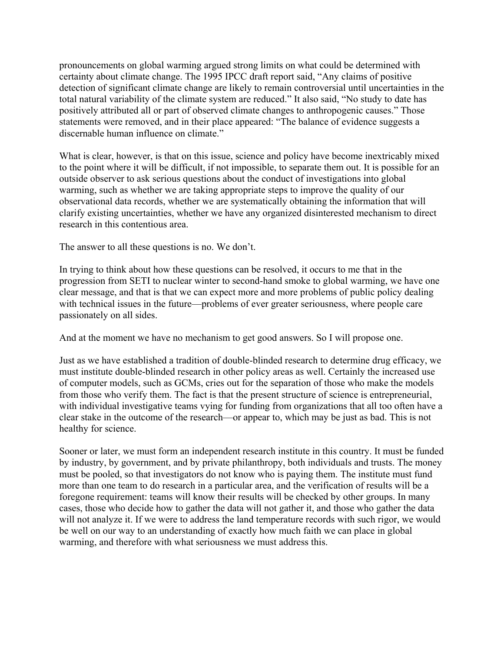pronouncements on global warming argued strong limits on what could be determined with certainty about climate change. The 1995 IPCC draft report said, "Any claims of positive detection of significant climate change are likely to remain controversial until uncertainties in the total natural variability of the climate system are reduced." It also said, "No study to date has positively attributed all or part of observed climate changes to anthropogenic causes." Those statements were removed, and in their place appeared: "The balance of evidence suggests a discernable human influence on climate."

What is clear, however, is that on this issue, science and policy have become inextricably mixed to the point where it will be difficult, if not impossible, to separate them out. It is possible for an outside observer to ask serious questions about the conduct of investigations into global warming, such as whether we are taking appropriate steps to improve the quality of our observational data records, whether we are systematically obtaining the information that will clarify existing uncertainties, whether we have any organized disinterested mechanism to direct research in this contentious area.

The answer to all these questions is no. We don't.

In trying to think about how these questions can be resolved, it occurs to me that in the progression from SETI to nuclear winter to second-hand smoke to global warming, we have one clear message, and that is that we can expect more and more problems of public policy dealing with technical issues in the future—problems of ever greater seriousness, where people care passionately on all sides.

And at the moment we have no mechanism to get good answers. So I will propose one.

Just as we have established a tradition of double-blinded research to determine drug efficacy, we must institute double-blinded research in other policy areas as well. Certainly the increased use of computer models, such as GCMs, cries out for the separation of those who make the models from those who verify them. The fact is that the present structure of science is entrepreneurial, with individual investigative teams vying for funding from organizations that all too often have a clear stake in the outcome of the research—or appear to, which may be just as bad. This is not healthy for science.

Sooner or later, we must form an independent research institute in this country. It must be funded by industry, by government, and by private philanthropy, both individuals and trusts. The money must be pooled, so that investigators do not know who is paying them. The institute must fund more than one team to do research in a particular area, and the verification of results will be a foregone requirement: teams will know their results will be checked by other groups. In many cases, those who decide how to gather the data will not gather it, and those who gather the data will not analyze it. If we were to address the land temperature records with such rigor, we would be well on our way to an understanding of exactly how much faith we can place in global warming, and therefore with what seriousness we must address this.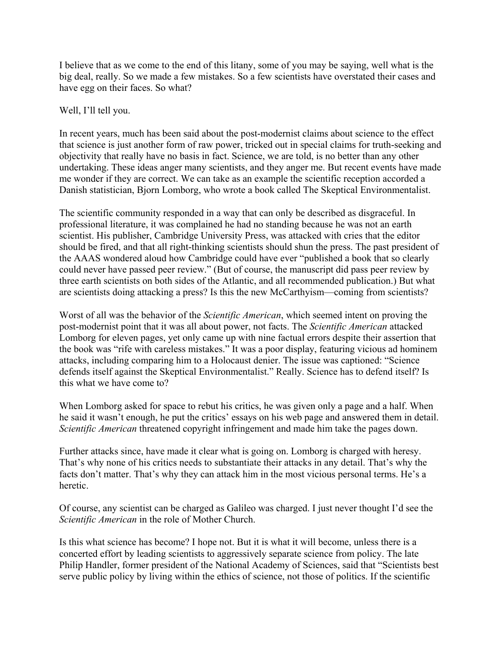I believe that as we come to the end of this litany, some of you may be saying, well what is the big deal, really. So we made a few mistakes. So a few scientists have overstated their cases and have egg on their faces. So what?

## Well, I'll tell you.

In recent years, much has been said about the post-modernist claims about science to the effect that science is just another form of raw power, tricked out in special claims for truth-seeking and objectivity that really have no basis in fact. Science, we are told, is no better than any other undertaking. These ideas anger many scientists, and they anger me. But recent events have made me wonder if they are correct. We can take as an example the scientific reception accorded a Danish statistician, Bjorn Lomborg, who wrote a book called The Skeptical Environmentalist.

The scientific community responded in a way that can only be described as disgraceful. In professional literature, it was complained he had no standing because he was not an earth scientist. His publisher, Cambridge University Press, was attacked with cries that the editor should be fired, and that all right-thinking scientists should shun the press. The past president of the AAAS wondered aloud how Cambridge could have ever "published a book that so clearly could never have passed peer review." (But of course, the manuscript did pass peer review by three earth scientists on both sides of the Atlantic, and all recommended publication.) But what are scientists doing attacking a press? Is this the new McCarthyism—coming from scientists?

Worst of all was the behavior of the *Scientific American*, which seemed intent on proving the post-modernist point that it was all about power, not facts. The *Scientific American* attacked Lomborg for eleven pages, yet only came up with nine factual errors despite their assertion that the book was "rife with careless mistakes." It was a poor display, featuring vicious ad hominem attacks, including comparing him to a Holocaust denier. The issue was captioned: "Science defends itself against the Skeptical Environmentalist." Really. Science has to defend itself? Is this what we have come to?

When Lomborg asked for space to rebut his critics, he was given only a page and a half. When he said it wasn't enough, he put the critics' essays on his web page and answered them in detail. *Scientific American* threatened copyright infringement and made him take the pages down.

Further attacks since, have made it clear what is going on. Lomborg is charged with heresy. That's why none of his critics needs to substantiate their attacks in any detail. That's why the facts don't matter. That's why they can attack him in the most vicious personal terms. He's a heretic.

Of course, any scientist can be charged as Galileo was charged. I just never thought I'd see the *Scientific American* in the role of Mother Church.

Is this what science has become? I hope not. But it is what it will become, unless there is a concerted effort by leading scientists to aggressively separate science from policy. The late Philip Handler, former president of the National Academy of Sciences, said that "Scientists best serve public policy by living within the ethics of science, not those of politics. If the scientific